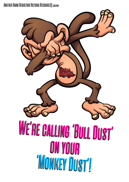# Another Harm Reduction Victoria Resource© <sup>2019</sup>